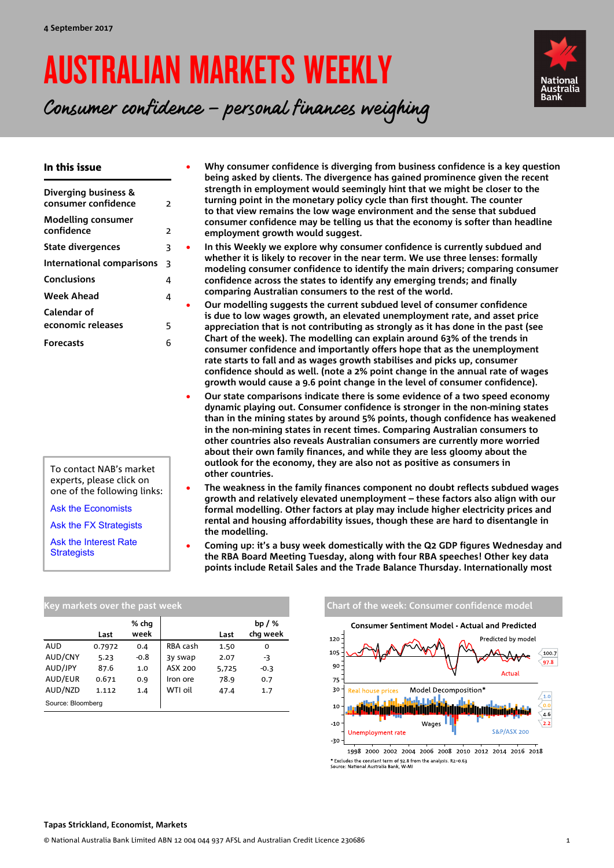# AUSTRALIAN MARKETS WEEKLY



Consumer confidence – personal finances weighing

### In this issue

| Diverging business &<br>consumer confidence | $\overline{\phantom{1}}$ |
|---------------------------------------------|--------------------------|
| Modelling consumer<br>confidence            | $\overline{2}$           |
| <b>State divergences</b>                    | 3                        |
| International comparisons                   | 3                        |
| Conclusions                                 | 4                        |
| Week Ahead                                  | 4                        |
| Calendar of                                 |                          |
| economic releases                           | 5                        |
| <b>Forecasts</b>                            | 6                        |

experts, please click on

[Ask the Economists](mailto:Ivan.Colhoun@nab.com.au;%20David.deGaris@nab.com.au;%20Tapas.Strickland@nab.com.au?subject=Economics%20enquiry%20from%20AMW)

[Ask the FX Strategists](mailto:Ray.Attrill@nab.com.au;Rodrigo.H.Catril@nab.com.au?subject=FX%20enquiry%20from%20AMW)

[Ask the Interest Rate](mailto:Skye.Masters@nab.com.au;Alex.Stanley@nab.com.au?subject=Interest%20Rate%20enquiry%20from%20AMW)  **[Strategists](mailto:Skye.Masters@nab.com.au;Alex.Stanley@nab.com.au?subject=Interest%20Rate%20enquiry%20from%20AMW)** 

• **Why consumer confidence is diverging from business confidence is a key question being asked by clients. The divergence has gained prominence given the recent strength in employment would seemingly hint that we might be closer to the turning point in the monetary policy cycle than first thought. The counter to that view remains the low wage environment and the sense that subdued consumer confidence may be telling us that the economy is softer than headline employment growth would suggest.** 

• **In this Weekly we explore why consumer confidence is currently subdued and whether it is likely to recover in the near term. We use three lenses: formally modeling consumer confidence to identify the main drivers; comparing consumer confidence across the states to identify any emerging trends; and finally comparing Australian consumers to the rest of the world.**

• **Our modelling suggests the current subdued level of consumer confidence is due to low wages growth, an elevated unemployment rate, and asset price appreciation that is not contributing as strongly as it has done in the past (see Chart of the week). The modelling can explain around 63% of the trends in consumer confidence and importantly offers hope that as the unemployment rate starts to fall and as wages growth stabilises and picks up, consumer confidence should as well. (note a 2% point change in the annual rate of wages growth would cause a 9.6 point change in the level of consumer confidence).** 

- **Our state comparisons indicate there is some evidence of a two speed economy dynamic playing out. Consumer confidence is stronger in the non-mining states than in the mining states by around 5% points, though confidence has weakened in the non-mining states in recent times. Comparing Australian consumers to other countries also reveals Australian consumers are currently more worried about their own family finances, and while they are less gloomy about the outlook for the economy, they are also not as positive as consumers in other countries.**
- **The weakness in the family finances component no doubt reflects subdued wages growth and relatively elevated unemployment – these factors also align with our formal modelling. Other factors at play may include higher electricity prices and rental and housing affordability issues, though these are hard to disentangle in the modelling.**
- **Coming up: it's a busy week domestically with the Q2 GDP figures Wednesday and the RBA Board Meeting Tuesday, along with four RBA speeches! Other key data points include Retail Sales and the Trade Balance Thursday. Internationally most**

| Key markets over the past week |        |               |          |       |                      |  |  |  |  |  |  |
|--------------------------------|--------|---------------|----------|-------|----------------------|--|--|--|--|--|--|
|                                | Last   | % chq<br>week |          | Last  | bp $/$ %<br>chq week |  |  |  |  |  |  |
| <b>AUD</b>                     | 0.7972 | 0.4           | RBA cash | 1.50  | 0                    |  |  |  |  |  |  |
| AUD/CNY                        | 5.23   | $-0.8$        | 3y swap  | 2.07  | -3                   |  |  |  |  |  |  |
| AUD/JPY                        | 87.6   | 1.0           | ASX 200  | 5,725 | $-0.3$               |  |  |  |  |  |  |
| AUD/EUR                        | 0.671  | 0.9           | Iron ore | 78.9  | 0.7                  |  |  |  |  |  |  |
| AUD/NZD                        | 1.112  | 1.4           | WTI oil  | 47.4  | 1.7                  |  |  |  |  |  |  |
| Source: Bloomberg              |        |               |          |       |                      |  |  |  |  |  |  |

#### **Chart of the week: Consumer confidence model Consumer Sentiment Model - Actual and Predicted** 120 Predicted by model 105  $100.7$ 97.8  $90$ Actual 75 Model Decomposition\* 30 Rool k  $10$ ىنىن<mark>ىراز ئازاز ئانانا</mark>نا يىررا أن<mark>انتار زاراز ئازا</mark> i<mark>n İlin talimin olduğu bili</mark> bili  $4.6$ Wages  $-10$ SR-P/ASY 200 **Unemployment rate**  $-30$

1998 2000 2002 2004 2006 2008 2010 2012 2014 2016 2018 \* Excludes the constant term of 92.8 from the analysis. R2=0.63<br>Source: National Australia Bank, W-MI

To contact NAB's market one of the following links: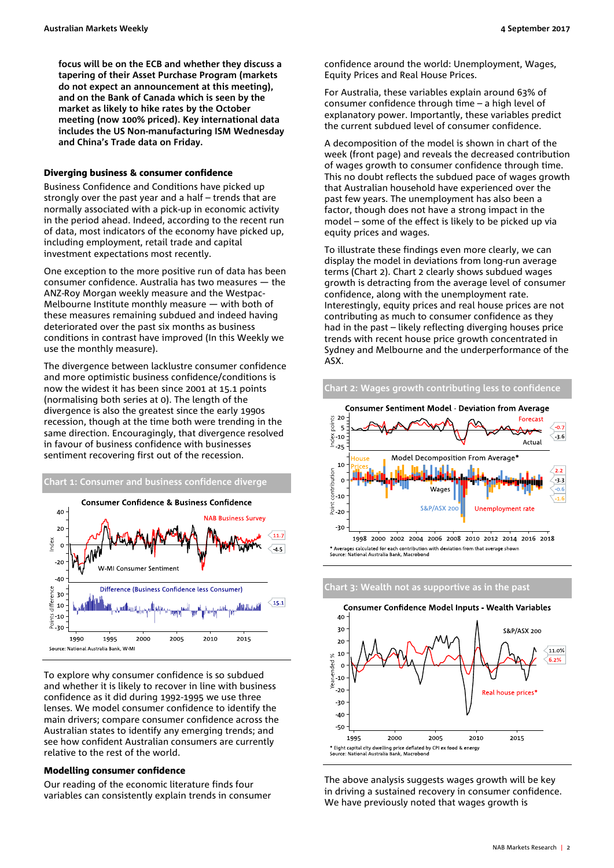**focus will be on the ECB and whether they discuss a tapering of their Asset Purchase Program (markets do not expect an announcement at this meeting), and on the Bank of Canada which is seen by the market as likely to hike rates by the October meeting (now 100% priced). Key international data includes the US Non-manufacturing ISM Wednesday and China's Trade data on Friday.** 

### <span id="page-1-0"></span>Diverging business & consumer confidence

Business Confidence and Conditions have picked up strongly over the past year and a half – trends that are normally associated with a pick-up in economic activity in the period ahead. Indeed, according to the recent run of data, most indicators of the economy have picked up, including employment, retail trade and capital investment expectations most recently.

One exception to the more positive run of data has been consumer confidence. Australia has two measures — the ANZ-Roy Morgan weekly measure and the Westpac-Melbourne Institute monthly measure — with both of these measures remaining subdued and indeed having deteriorated over the past six months as business conditions in contrast have improved (In this Weekly we use the monthly measure).

The divergence between lacklustre consumer confidence and more optimistic business confidence/conditions is now the widest it has been since 2001 at 15.1 points (normalising both series at 0). The length of the divergence is also the greatest since the early 1990s recession, though at the time both were trending in the same direction. Encouragingly, that divergence resolved in favour of business confidence with businesses sentiment recovering first out of the recession.



To explore why consumer confidence is so subdued and whether it is likely to recover in line with business confidence as it did during 1992-1995 we use three lenses. We model consumer confidence to identify the main drivers; compare consumer confidence across the Australian states to identify any emerging trends; and see how confident Australian consumers are currently relative to the rest of the world.

#### <span id="page-1-1"></span>Modelling consumer confidence

Our reading of the economic literature finds four variables can consistently explain trends in consumer confidence around the world: Unemployment, Wages, Equity Prices and Real House Prices.

For Australia, these variables explain around 63% of consumer confidence through time – a high level of explanatory power. Importantly, these variables predict the current subdued level of consumer confidence.

A decomposition of the model is shown in chart of the week (front page) and reveals the decreased contribution of wages growth to consumer confidence through time. This no doubt reflects the subdued pace of wages growth that Australian household have experienced over the past few years. The unemployment has also been a factor, though does not have a strong impact in the model – some of the effect is likely to be picked up via equity prices and wages.

To illustrate these findings even more clearly, we can display the model in deviations from long-run average terms (Chart 2). Chart 2 clearly shows subdued wages growth is detracting from the average level of consumer confidence, along with the unemployment rate. Interestingly, equity prices and real house prices are not contributing as much to consumer confidence as they had in the past – likely reflecting diverging houses price trends with recent house price growth concentrated in Sydney and Melbourne and the underperformance of the ASX.

**Chart 2: Wages growth contributing less to confidence**







The above analysis suggests wages growth will be key in driving a sustained recovery in consumer confidence. We have previously noted that wages growth is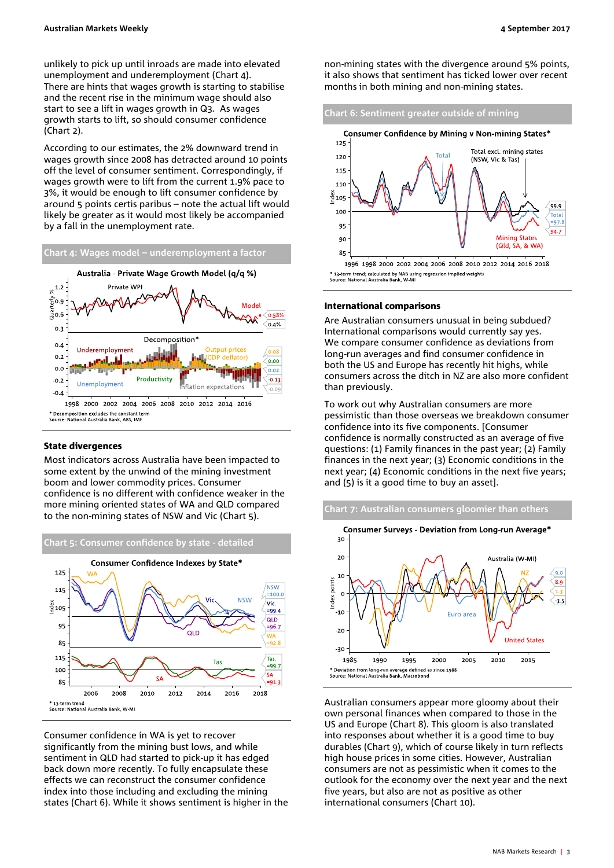unlikely to pick up until inroads are made into elevated unemployment and underemployment (Chart 4). There are hints that wages growth is starting to stabilise and the recent rise in the minimum wage should also start to see a lift in wages growth in Q3. As wages growth starts to lift, so should consumer confidence (Chart 2).

According to our estimates, the 2% downward trend in wages growth since 2008 has detracted around 10 points off the level of consumer sentiment. Correspondingly, if wages growth were to lift from the current 1.9% pace to 3%, it would be enough to lift consumer confidence by around 5 points certis paribus – note the actual lift would likely be greater as it would most likely be accompanied by a fall in the unemployment rate.



#### <span id="page-2-0"></span>State divergences

Most indicators across Australia have been impacted to some extent by the unwind of the mining investment boom and lower commodity prices. Consumer confidence is no different with confidence weaker in the more mining oriented states of WA and QLD compared to the non-mining states of NSW and Vic (Chart 5).



Consumer confidence in WA is yet to recover significantly from the mining bust lows, and while sentiment in QLD had started to pick-up it has edged back down more recently. To fully encapsulate these effects we can reconstruct the consumer confidence index into those including and excluding the mining states (Chart 6). While it shows sentiment is higher in the non-mining states with the divergence around 5% points, it also shows that sentiment has ticked lower over recent months in both mining and non-mining states.



### <span id="page-2-1"></span>International comparisons

Are Australian consumers unusual in being subdued? International comparisons would currently say yes. We compare consumer confidence as deviations from long-run averages and find consumer confidence in both the US and Europe has recently hit highs, while consumers across the ditch in NZ are also more confident than previously.

To work out why Australian consumers are more pessimistic than those overseas we breakdown consumer confidence into its five components. [Consumer confidence is normally constructed as an average of five questions: (1) Family finances in the past year;  $(2)$  Family finances in the next year; (3) Economic conditions in the next year; (4) Economic conditions in the next five years; and (5) is it a good time to buy an asset].



Australian consumers appear more gloomy about their own personal finances when compared to those in the US and Europe (Chart 8). This gloom is also translated into responses about whether it is a good time to buy durables (Chart 9), which of course likely in turn reflects high house prices in some cities. However, Australian consumers are not as pessimistic when it comes to the outlook for the economy over the next year and the next five years, but also are not as positive as other international consumers (Chart 10).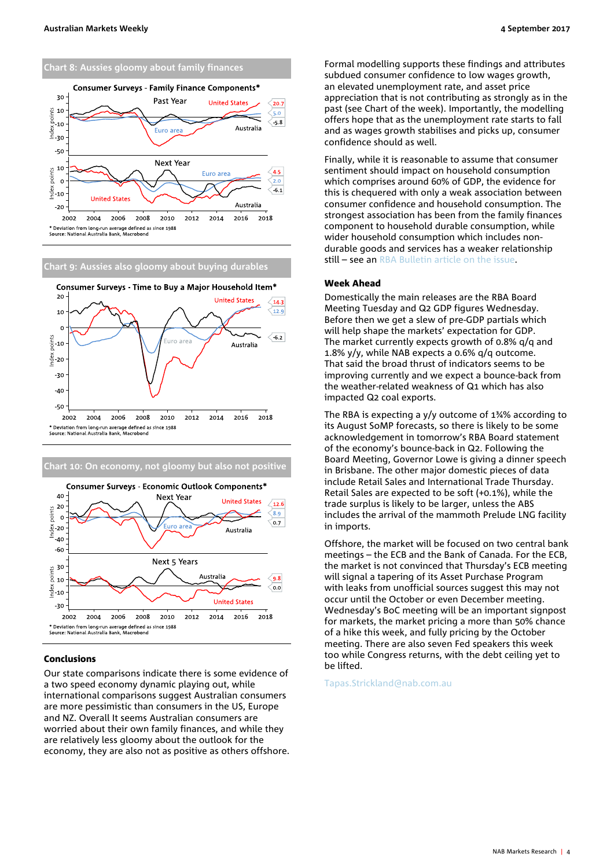



## **Chart 9: Aussies also gloomy about buying durables**





#### <span id="page-3-0"></span>Conclusions

Our state comparisons indicate there is some evidence of a two speed economy dynamic playing out, while international comparisons suggest Australian consumers are more pessimistic than consumers in the US, Europe and NZ. Overall It seems Australian consumers are worried about their own family finances, and while they are relatively less gloomy about the outlook for the economy, they are also not as positive as others offshore. Formal modelling supports these findings and attributes subdued consumer confidence to low wages growth, an elevated unemployment rate, and asset price appreciation that is not contributing as strongly as in the past (see Chart of the week). Importantly, the modelling offers hope that as the unemployment rate starts to fall and as wages growth stabilises and picks up, consumer confidence should as well.

Finally, while it is reasonable to assume that consumer sentiment should impact on household consumption which comprises around 60% of GDP, the evidence for this is chequered with only a weak association between consumer confidence and household consumption. The strongest association has been from the family finances component to household durable consumption, while wider household consumption which includes nondurable goods and services has a weaker relationship still – see an RBA Bulletin article on the issue.

#### <span id="page-3-1"></span>Week Ahead

Domestically the main releases are the RBA Board Meeting Tuesday and Q2 GDP figures Wednesday. Before then we get a slew of pre-GDP partials which will help shape the markets' expectation for GDP. The market currently expects growth of 0.8% q/q and 1.8% y/y, while NAB expects a 0.6% q/q outcome. That said the broad thrust of indicators seems to be improving currently and we expect a bounce-back from the weather-related weakness of Q1 which has also impacted Q2 coal exports.

The RBA is expecting a y/y outcome of 1¾% according to its August SoMP forecasts, so there is likely to be some acknowledgement in tomorrow's RBA Board statement of the economy's bounce-back in Q2. Following the Board Meeting, Governor Lowe is giving a dinner speech in Brisbane. The other major domestic pieces of data include Retail Sales and International Trade Thursday. Retail Sales are expected to be soft (+0.1%), while the trade surplus is likely to be larger, unless the ABS includes the arrival of the mammoth Prelude LNG facility in imports.

Offshore, the market will be focused on two central bank meetings – the ECB and the Bank of Canada. For the ECB, the market is not convinced that Thursday's ECB meeting will signal a tapering of its Asset Purchase Program with leaks from unofficial sources suggest this may not occur until the October or even December meeting. Wednesday's BoC meeting will be an important signpost for markets, the market pricing a more than 50% chance of a hike this week, and fully pricing by the October meeting. There are also seven Fed speakers this week too while Congress returns, with the debt ceiling yet to be lifted.

#### [Tapas.Strickland@nab.com.au](mailto:Tapas.Strickland@nab.com.au)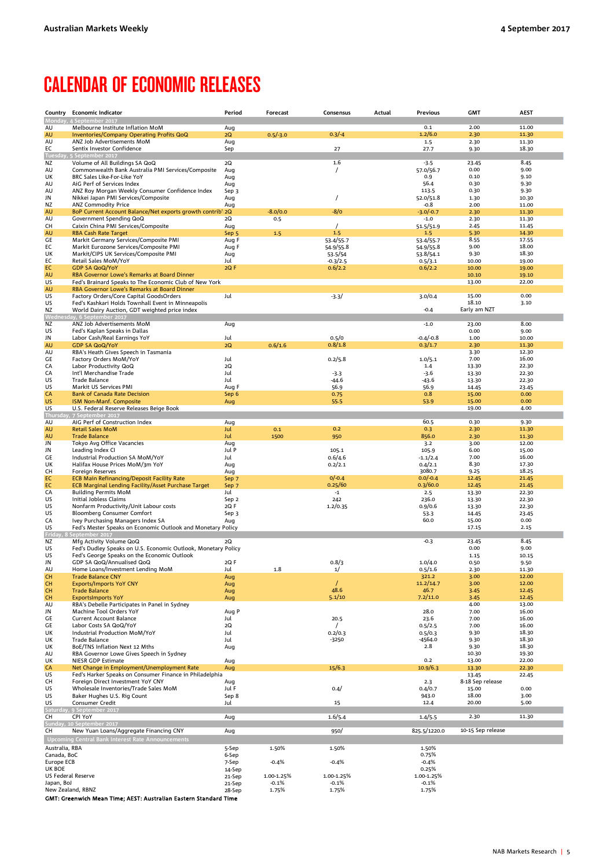# <span id="page-4-0"></span>CALENDAR OF ECONOMIC RELEASES

|                              | Country Economic Indicator                                                                            | Period           | Forecast   | Consensus             | Actual | <b>Previous</b>      | <b>GMT</b>        | <b>AEST</b>    |
|------------------------------|-------------------------------------------------------------------------------------------------------|------------------|------------|-----------------------|--------|----------------------|-------------------|----------------|
|                              | Monday, 4 September 2017                                                                              |                  |            |                       |        | 0.1                  | 2.00              | 11.00          |
| AU<br>AU                     | Melbourne Institute Inflation MoM<br>Inventories/Company Operating Profits QoQ                        | Aug<br>2Q        | $0.5/-3.0$ | $0.3/-4$              |        | 1.2/6.0              | 2.30              | 11.30          |
| AU                           | ANZ Job Advertisements MoM                                                                            | Aug              |            |                       |        | 1.5                  | 2.30              | 11.30          |
| ЕC                           | Sentix Investor Confidence                                                                            | Sep              |            | 27                    |        | 27.7                 | 9.30              | 18.30          |
| Tuesdav.<br>ΝZ               | 5 September 2017<br>Volume of All Buildings SA QoQ                                                    | 2Q               |            | 1.6                   |        | $-3.5$               | 23.45             | 8.45           |
| AU                           | Commonwealth Bank Australia PMI Services/Composite                                                    | Aug              |            | $\prime$              |        | 57.0/56.7            | 0.00              | 9.00           |
| UK                           | BRC Sales Like-For-Like YoY                                                                           | Aug              |            |                       |        | 0.9                  | 0.10              | 9.10           |
| AU<br>AU                     | AiG Perf of Services Index<br>ANZ Roy Morgan Weekly Consumer Confidence Index                         | Aug<br>Sep 3     |            |                       |        | 56.4<br>113.5        | 0.30<br>0.30      | 9.30<br>9.30   |
| JN                           | Nikkei Japan PMI Services/Composite                                                                   | Aug              |            | 1                     |        | 52.0/51.8            | 1.30              | 10.30          |
| ΝZ                           | <b>ANZ Commodity Price</b>                                                                            | Aug              |            |                       |        | $-0.8$               | 2.00              | 11.00          |
| AU                           | BoP Current Account Balance/Net exports growth contrib' <sub>12Q</sub>                                |                  | $-8.0/0.0$ | $-8/0$                |        | $-3.0/-0.7$          | 2.30              | 11.30          |
| AU<br>CН                     | Government Spending QoQ<br>Caixin China PMI Services/Composite                                        | 2Q<br>Aug        | 0.5        |                       |        | $-1.0$<br>51.5/51.9  | 2.30<br>2.45      | 11.30<br>11.45 |
| AU                           | <b>RBA Cash Rate Target</b>                                                                           | Sep 5            | 1.5        | 1.5                   |        | 1.5                  | 5.30              | 14.30          |
| GE                           | Markit Germany Services/Composite PMI                                                                 | Aug F            |            | 53.4/55.7             |        | 53.4/55.7            | 8.55              | 17.55          |
| EC<br>UK                     | Markit Eurozone Services/Composite PMI<br>Markit/CIPS UK Services/Composite PMI                       | Aug F<br>Aug     |            | 54.9/55.8             |        | 54.9/55.8            | 9.00<br>9.30      | 18.00<br>18.30 |
| ЕC                           | Retail Sales MoM/YoY                                                                                  | Jul              |            | 53.5/54<br>$-0.3/2.5$ |        | 53.8/54.1<br>0.5/3.1 | 10.00             | 19.00          |
| ЕC                           | <b>GDP SA QoQ/YoY</b>                                                                                 | 2QF              |            | 0.6/2.2               |        | 0.6/2.2              | 10.00             | 19.00          |
| AU                           | RBA Governor Lowe's Remarks at Board Dinner                                                           |                  |            |                       |        |                      | 10.10             | 19.10          |
| US<br>AU                     | Fed's Brainard Speaks to The Economic Club of New York<br>RBA Governor Lowe's Remarks at Board Dinner |                  |            |                       |        |                      | 13.00             | 22.00          |
| US                           | Factory Orders/Core Capital GoodsOrders                                                               | Jul              |            | $-3.3/$               |        | 3.0/0.4              | 15.00             | 0.00           |
| US                           | Fed's Kashkari Holds Townhall Event in Minneapolis                                                    |                  |            |                       |        |                      | 18.10             | 3.10           |
| ΝZ                           | World Dairy Auction, GDT weighted price index<br>/ednesday, 6 September 2017                          |                  |            |                       |        | $-0.4$               | Early am NZT      |                |
| NZ                           | ANZ Job Advertisements MoM                                                                            | Aug              |            |                       |        | $-1.0$               | 23.00             | 8.00           |
| US                           | Fed's Kaplan Speaks in Dallas                                                                         |                  |            |                       |        |                      | 0.00              | 9.00           |
| JN                           | Labor Cash/Real Earnings YoY                                                                          | Jul              |            | 0.5/0                 |        | $-0.4/-0.8$          | 1.00              | 10.00          |
| AU<br>AU                     | <b>GDP SA QoQ/YoY</b><br>RBA's Heath Gives Speech in Tasmania                                         | 2Q               | 0.6/1.6    | 0.8/1.8               |        | 0.3/1.7              | 2.30<br>3.30      | 11.30<br>12.30 |
| GE                           | Factory Orders MoM/YoY                                                                                | Jul              |            | 0.2/5.8               |        | 1.0/5.1              | 7.00              | 16.00          |
| CA                           | Labor Productivity QoQ                                                                                | 2Q               |            |                       |        | 1.4                  | 13.30             | 22.30          |
| CA                           | Int'l Merchandise Trade<br><b>Trade Balance</b>                                                       | Jul              |            | $-3.3$                |        | $-3.6$               | 13.30             | 22.30          |
| US<br>US                     | Markit US Services PMI                                                                                | Jul<br>Aug F     |            | -44.6<br>56.9         |        | $-43.6$<br>56.9      | 13.30<br>14.45    | 22.30<br>23.45 |
| СA                           | <b>Bank of Canada Rate Decision</b>                                                                   | Sep 6            |            | 0.75                  |        | 0.8                  | 15.00             | 0.00           |
| US                           | ISM Non-Manf. Composite                                                                               | Aug              |            | 55.5                  |        | 53.9                 | 15.00             | 0.00           |
| US<br><b>Thursday</b>        | U.S. Federal Reserve Releases Beige Book<br>. 7 September 2017                                        |                  |            |                       |        |                      | 19.00             | 4.00           |
| AU                           | AiG Perf of Construction Index                                                                        | Aug              |            |                       |        | 60.5                 | 0.30              | 9.30           |
| AU                           | <b>Retail Sales MoM</b>                                                                               | Jul              | 0.1        | 0.2                   |        | 0.3                  | 2.30              | 11.30          |
| AU                           | <b>Trade Balance</b>                                                                                  | Jul              | 1500       | 950                   |        | 856.0                | 2.30              | 11.30          |
| JN<br>JN                     | Tokyo Avg Office Vacancies<br>Leading Index CI                                                        | Aug<br>Jul P     |            | 105.1                 |        | 3.2<br>105.9         | 3.00<br>6.00      | 12.00<br>15.00 |
| GE                           | Industrial Production SA MoM/YoY                                                                      | Jul              |            | 0.6/4.6               |        | $-1.1/2.4$           | 7.00              | 16.00          |
| UK                           | Halifax House Prices MoM/3m YoY                                                                       | Aug              |            | 0.2/2.1               |        | 0.4/2.1              | 8.30              | 17.30          |
| CН<br>EC                     | <b>Foreign Reserves</b><br><b>ECB Main Refinancing/Deposit Facility Rate</b>                          | Aug<br>Sep 7     |            | $0/-0.4$              |        | 3080.7<br>$0.0/-0.4$ | 9.25<br>12.45     | 18.25<br>21.45 |
| EC                           | <b>ECB Marginal Lending Facility/Asset Purchase Target</b>                                            | Sep 7            |            | 0.25/60               |        | 0.3/60.0             | 12.45             | 21.45          |
| CA                           | <b>Building Permits MoM</b>                                                                           | Jul              |            | $-1$                  |        | 2.5                  | 13.30             | 22.30          |
| US                           | Initial Jobless Claims                                                                                | Sep 2            |            | 242                   |        | 236.0                | 13.30             | 22.30          |
| US<br>US                     | Nonfarm Productivity/Unit Labour costs<br>Bloomberg Consumer Comfort                                  | 2QF<br>Sep 3     |            | 1.2/0.35              |        | 0.9/0.6<br>53.3      | 13.30<br>14.45    | 22.30<br>23.45 |
| CA                           | Ivey Purchasing Managers Index SA                                                                     | Aug              |            |                       |        | 60.0                 | 15.00             | 0.00           |
| US                           | Fed's Mester Speaks on Economic Outlook and Monetary Policy                                           |                  |            |                       |        |                      | 17.15             | 2.15           |
| Friday, 8<br>ΝZ              | September 2017<br>Mfg Activity Volume QoQ                                                             | 2Q               |            |                       |        | $-0.3$               | 23.45             | 8.45           |
| US                           | Fed's Dudley Speaks on U.S. Economic Outlook, Monetary Policy                                         |                  |            |                       |        |                      | 0.00              | 9.00           |
| US                           | Fed's George Speaks on the Economic Outlook                                                           |                  |            |                       |        |                      | 1.15              | 10.15          |
| JN<br>AU                     | GDP SA QoQ/Annualised QoQ<br>Home Loans/Investment Lending MoM                                        | 2QF<br>Jul       | 1.8        | 0.8/3<br>1/           |        | 1.0/4.0<br>0.5/1.6   | 0.50<br>2.30      | 9.50<br>11.30  |
| CH                           | <b>Trade Balance CNY</b>                                                                              | Aug              |            |                       |        | 321.2                | 3.00              | 12.00          |
| CН                           | <b>Exports/Imports YoY CNY</b>                                                                        | Aug              |            | $\prime$              |        | 11.2/14.7            | 3.00              | 12.00          |
| CH                           | <b>Trade Balance</b>                                                                                  | Aug              |            | 48.6                  |        | 46.7                 | 3.45              | 12.45          |
| CH<br>AU                     | <b>ExportsImports YoY</b><br>RBA's Debelle Participates in Panel in Sydney                            | Aug              |            | 5.1/10                |        | 7.2/11.0             | 3.45<br>4.00      | 12.45<br>13.00 |
| JN                           | Machine Tool Orders YoY                                                                               | Aug P            |            |                       |        | 28.0                 | 7.00              | 16.00          |
| GE                           | <b>Current Account Balance</b>                                                                        | Jul              |            | 20.5                  |        | 23.6                 | 7.00              | 16.00          |
| GЕ<br>UK                     | Labor Costs SA QoQ/YoY<br>Industrial Production MoM/YoY                                               | 2Q<br>Jul        |            | 0.2/0.3               |        | 0.5/2.5<br>0.5/0.3   | 7.00<br>9.30      | 16.00<br>18.30 |
| UK                           | Trade Balance                                                                                         | Jul              |            | $-3250$               |        | -4564.0              | 9.30              | 18.30          |
| UK                           | BoE/TNS Inflation Next 12 Mths                                                                        | Aug              |            |                       |        | 2.8                  | 9.30              | 18.30          |
| AU                           | RBA Governor Lowe Gives Speech in Sydney                                                              |                  |            |                       |        |                      | 10.30             | 19.30          |
| UK<br>CA                     | NIESR GDP Estimate<br>Net Change in Employment/Unemployment Rate                                      | Aug<br>Aug       |            | 15/6.3                |        | 0.2<br>10.9/6.3      | 13.00<br>13.30    | 22.00<br>22.30 |
| US                           | Fed's Harker Speaks on Consumer Finance in Philadelphia                                               |                  |            |                       |        |                      | 13.45             | 22.45          |
| CН                           | Foreign Direct Investment YoY CNY                                                                     | Aug              |            |                       |        | 2.3                  | 8-18 Sep release  |                |
| US<br>US                     | Wholesale Inventories/Trade Sales MoM<br>Baker Hughes U.S. Rig Count                                  | Jul F<br>Sep 8   |            | 0.4/                  |        | 0.4/0.7<br>943.0     | 15.00<br>18.00    | 0.00<br>3.00   |
| US                           | Consumer Credit                                                                                       | Jul              |            | 15                    |        | 12.4                 | 20.00             | 5.00           |
|                              | Saturday, 9 September 2017                                                                            |                  |            |                       |        |                      |                   |                |
| CН                           | CPI YoY                                                                                               | Aug              |            | 1.6/5.4               |        | 1.4/5.5              | 2.30              | 11.30          |
| CН                           | Sunday, 10 September 2017<br>New Yuan Loans/Aggregate Financing CNY                                   | Aug              |            | 950/                  |        | 825.5/1220.0         | 10-15 Sep release |                |
|                              | <b>Upcoming Central Bank Interest Rate Announcements</b>                                              |                  |            |                       |        |                      |                   |                |
| Australia, RBA               |                                                                                                       | 5-Sep            | 1.50%      | 1.50%                 |        | 1.50%                |                   |                |
| Canada, BoC                  |                                                                                                       | 6-Sep            |            |                       |        | 0.75%                |                   |                |
| Europe ECB                   |                                                                                                       | 7-Sep            | $-0.4%$    | $-0.4%$               |        | $-0.4%$              |                   |                |
| UK BOE<br>US Federal Reserve |                                                                                                       | 14-Sep<br>21-Sep | 1.00-1.25% | 1.00-1.25%            |        | 0.25%<br>1.00-1.25%  |                   |                |
| Japan, BoJ                   |                                                                                                       | 21-Sep           | $-0.1%$    | $-0.1%$               |        | $-0.1%$              |                   |                |
| New Zealand, RBNZ            |                                                                                                       | 28-Sep           | 1.75%      | 1.75%                 |        | 1.75%                |                   |                |

GMT: Greenwich Mean Time; AEST: Australian Eastern Standard Time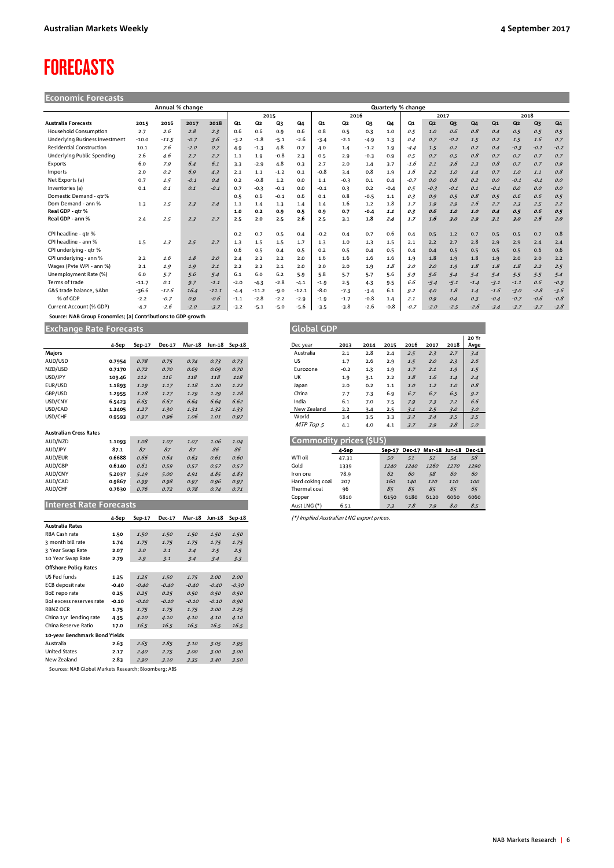# <span id="page-5-0"></span>FORECASTS

| <b>Economic Forecasts</b> |  |  |
|---------------------------|--|--|
|                           |  |  |
|                           |  |  |

| Annual % change                       |         |         |        |         |                |                |        | Quarterly % change |        |                |        |        |        |                |                |        |                |                |                |        |
|---------------------------------------|---------|---------|--------|---------|----------------|----------------|--------|--------------------|--------|----------------|--------|--------|--------|----------------|----------------|--------|----------------|----------------|----------------|--------|
|                                       |         |         |        |         |                | 2015           |        |                    |        | 2016           |        |        | 2017   |                |                |        | 2018           |                |                |        |
| <b>Australia Forecasts</b>            | 2015    | 2016    | 2017   | 2018    | Q <sub>1</sub> | Q <sub>2</sub> | Q3     | Q4                 | Q1     | Q <sub>2</sub> | Q3     | Q4     | Q1     | Q <sub>2</sub> | Q <sub>3</sub> | Q4     | Q <sub>1</sub> | Q <sub>2</sub> | Q <sub>3</sub> | Q4     |
| <b>Household Consumption</b>          | 2.7     | 2.6     | 2.8    | 2.3     | 0.6            | 0.6            | 0.9    | 0.6                | 0.8    | 0.5            | 0.3    | 1.0    | 0.5    | 1.0            | 0.6            | 0.8    | 0.4            | 0.5            | 0.5            | 0.5    |
| <b>Underlying Business Investment</b> | $-10.0$ | $-11.5$ | $-0.7$ | 3.6     | $-3.2$         | $-1.8$         | $-5.1$ | $-2.6$             | $-3.4$ | $-2.1$         | $-4.9$ | 1.3    | 0.4    | 0.7            | $-0.2$         | 1.5    | 0.2            | 1.5            | 1.6            | 0.7    |
| <b>Residential Construction</b>       | 10.1    | 7.6     | $-2.0$ | 0.7     | 4.9            | $-1.3$         | 4.8    | 0.7                | 4.0    | 1.4            | $-1.2$ | 1.9    | $-4.4$ | 1.5            | 0.2            | 0.2    | 0.4            | $-0.3$         | $-0.1$         | $-0.2$ |
| Underlying Public Spending            | 2.6     | 4.6     | 2.7    | 2.7     | 1.1            | 1.9            | $-0.8$ | 2.3                | 0.5    | 2.9            | $-0.3$ | 0.9    | 0.5    | 0.7            | 0.5            | 0.8    | 0.7            | 0.7            | 0.7            | 0.7    |
| Exports                               | 6.0     | 7.9     | 6.4    | 6.1     | 3.3            | $-2.9$         | 4.8    | 0.3                | 2.7    | 2.0            | 1.4    | 3.7    | $-1.6$ | 2.1            | 3.6            | 2.3    | 0.8            | 0.7            | 0.7            | 0.9    |
| Imports                               | 2.0     | 0.2     | 6.9    | 4.3     | 2.1            | 1.1            | $-1.2$ | 0.1                | $-0.8$ | 3.4            | 0.8    | 1.9    | 1.6    | 2.2            | 1.0            | 1.4    | 0.7            | 1.0            | 1.1            | 0.8    |
| Net Exports (a)                       | 0.7     | 1.5     | $-0.1$ | 0.4     | 0.2            | $-0.8$         | 1.2    | 0.0                | 1.1    | $-0.3$         | 0.1    | 0.4    | $-0.7$ | O.O            | 0.6            | 0.2    | 0.0            | $-0.1$         | $-0.1$         | 0.0    |
| Inventories (a)                       | 0.1     | 0.1     | 0.1    | $-0.1$  | 0.7            | $-0.3$         | $-0.1$ | 0.0                | $-0.1$ | 0.3            | 0.2    | $-0.4$ | 0.5    | $-0.3$         | $-0.1$         | 0.1    | $-0.1$         | O.O            | 0.0            | 0.0    |
| Domestic Demand - atr%                |         |         |        |         | 0.5            | 0.6            | $-0.1$ | 0.6                | 0.1    | 0.8            | $-0.5$ | 1.1    | 0.3    | 0.9            | 0.5            | 0.8    | 0.5            | 0.6            | 0.6            | 0.5    |
| Dom Demand - ann %                    | 1.3     | 1.5     | 2.3    | 2.4     | 1.1            | 1.4            | 1.3    | 1.4                | 1.4    | 1.6            | 1.2    | 1.8    | 1.7    | 1.9            | 2.9            | 2.6    | 2.7            | 2.3            | 2.5            | 2.2    |
| Real GDP - atr %                      |         |         |        |         | 1.0            | 0.2            | 0.9    | 0.5                | 0.9    | 0.7            | $-0.4$ | 1.1    | 0.3    | 0.6            | 1.0            | 1.0    | 0.4            | 0.5            | 0.6            | 0.5    |
| Real GDP - ann %                      | 2.4     | 2.5     | 2.3    | 2.7     | 2.5            | 2.0            | 2.5    | 2.6                | 2.5    | 3.1            | 1.8    | 2.4    | 1.7    | 1.6            | 3.0            | 2.9    | 3.1            | 3.0            | 2.6            | 2.0    |
| CPI headline - qtr %                  |         |         |        |         | 0.2            | 0.7            | 0.5    | 0.4                | $-0.2$ | 0.4            | 0.7    | 0.6    | 0.4    | 0.5            | $1.2$          | 0.7    | 0.5            | 0.5            | 0.7            | 0.8    |
| CPI headline - ann %                  | 1.5     | 1.3     | 2.5    | 2.7     | 1.3            | 1.5            | 1.5    | 1.7                | 1.3    | 1.0            | 1.3    | 1.5    | 2.1    | 2.2            | 2.7            | 2.8    | 2.9            | 2.9            | 2.4            | 2.4    |
| CPI underlying - qtr %                |         |         |        |         | 0.6            | 0.5            | 0.4    | 0.5                | 0.2    | 0.5            | 0.4    | 0.5    | 0.4    | 0.4            | 0.5            | 0.5    | 0.5            | 0.5            | 0.6            | 0.6    |
| CPI underlying - ann %                | 2.2     | 1.6     | 1.8    | 2.0     | 2.4            | 2.2            | 2.2    | 2.0                | 1.6    | 1.6            | 1.6    | 1.6    | 1.9    | 1.8            | 1.9            | 1.8    | 1.9            | 2.0            | 2.0            | 2.2    |
| Wages (Pvte WPI - ann %)              | 2.1     | 1.9     | 1.9    | 2.1     | 2.2            | 2.2            | 2.1    | 2.0                | 2.0    | 2.0            | 1.9    | 1.8    | 2.0    | 2.0            | 1.9            | 1.8    | 1.8            | 1.8            | 2.2            | 2.5    |
| Unemployment Rate (%)                 | 6.0     | 5.7     | 5.6    | 5.4     | 6.1            | 6.0            | 6.2    | 5.9                | 5.8    | 5.7            | 5.7    | 5.6    | 5.9    | 5.6            | 5.4            | 5.4    | 5.4            | 5.5            | 5.5            | 5.4    |
| Terms of trade                        | $-11.7$ | 0.1     | 9.7    | $-1.1$  | $-2.0$         | $-4.3$         | $-2.8$ | $-4.1$             | $-1.9$ | 2.5            | 4.3    | 9.5    | 6.6    | $-5.4$         | $-5.1$         | $-1.4$ | $-3.1$         | $-1.1$         | 0.6            | $-0.9$ |
| G&S trade balance, \$Abn              | $-36.6$ | $-12.6$ | 16.4   | $-11.1$ | $-4.4$         | $-11.2$        | $-9.0$ | $-12.1$            | $-8.0$ | $-7.3$         | $-3.4$ | 6.1    | 9.2    | 4.0            | 1.8            | 1.4    | $-1.6$         | $-3.0$         | $-2.8$         | $-3.6$ |
| % of GDP                              | $-2.2$  | $-0.7$  | 0.9    | $-0.6$  | $-1.1$         | $-2.8$         | $-2.2$ | $-2.9$             | $-1.9$ | $-1.7$         | $-0.8$ | 1.4    | 2.1    | O.9            | 0.4            | 0.3    | $-0.4$         | $-0.7$         | $-0.6$         | $-0.8$ |
| Current Account (% GDP)               | $-4.7$  | -2.6    | $-2.0$ | $-3.7$  | $-3.2$         | $-5.1$         | $-5.0$ | -5.6               | $-3.5$ | $-3.8$         | $-2.6$ | $-0.8$ | $-0.7$ | $-2.0$         | $-2.5$         | $-2.6$ | $-3.4$         | $-3.7$         | $-3.7$         | $-3.8$ |

 **Source: NAB Group Economics; (a) Contributions to GDP growth**

**Exchange Rate Forecasts Global GDP GLOBAL GDP GLOBAL GDP** 

|                                | 4-Sep   | Sep-17  | <b>Dec-17</b> |               | Mar-18 Jun-18 Sep-18 |          |
|--------------------------------|---------|---------|---------------|---------------|----------------------|----------|
| <b>Majors</b>                  |         |         |               |               |                      |          |
| AUD/USD                        | 0.7954  | 0.78    | 0.75          | 0.74          | 0.73                 | 0.73     |
| NZD/USD                        | 0.7170  | 0.72    | 0.70          | 0.69          | 0.69                 | 0.70     |
| USD/JPY                        | 109.46  | 112     | 116           | 118           | 118                  | 118      |
| EUR/USD                        | 1.1893  | 1.19    | 1.17          | 1.18          | 1.20                 | 1.22     |
| GBP/USD                        | 1.2955  | 1.28    | 1.27          | 1.29          | 1.29                 | 1.28     |
| USD/CNY                        | 6.5423  | 6.65    | 6.67          | 6.64          | 6.64                 | 6.62     |
| USD/CAD                        | 1.2405  | 1.27    | 1.30          | 1.31          | 1.32                 | 1.33     |
| USD/CHF                        | 0.9593  | 0.97    | 0.96          | 1.06          | 1.01                 | 0.97     |
|                                |         |         |               |               |                      |          |
| <b>Australian Cross Rates</b>  |         |         |               |               |                      |          |
| AUD/NZD                        | 1.1093  | 1.08    | 1.07          | 1.07          | 1.06                 | 1.04     |
| AUD/JPY                        | 87.1    | 87      | 87            | 87            | 86                   | 86       |
| AUD/EUR                        | 0.6688  | 0.66    | 0.64          | 0.63          | 0.61                 | 0.60     |
| AUD/GBP                        | 0.6140  | 0.61    | 0.59          | 0.57          | 0.57                 | 0.57     |
| AUD/CNY                        | 5.2037  | 5.19    | 5.00          | 4.91          | 4.85                 | 4.83     |
| AUD/CAD                        | 0.9867  | 0.99    | 0.98          | 0.97          | 0.96                 | 0.97     |
| AUD/CHF                        | 0.7630  | 0.76    | 0.72          | 0.78          | 0.74                 | 0.71     |
|                                |         |         |               |               |                      |          |
| <b>Interest Rate Forecasts</b> |         |         |               |               |                      |          |
|                                |         |         | Dec-17        | <b>Mar-18</b> | <b>Jun-18</b>        | $Sep-18$ |
| <b>Australia Rates</b>         | 4-Sep   | Sep-17  |               |               |                      |          |
| RBA Cash rate                  | 1.50    | 1.50    | 1.50          | 1.50          | 1.50                 | 1.50     |
| 3 month bill rate              | 1.74    | 1.75    | 1.75          | 1.75          | 1.75                 | 1.75     |
| 3 Year Swap Rate               |         |         | 2.1           |               | 2.5                  |          |
| 10 Year Swap Rate              | 2.07    | 2.0     |               | 2.4           |                      | 2.5      |
|                                | 2.79    | 2.9     | 3.1           | 3.4           | 3.4                  | 3.3      |
| <b>Offshore Policy Rates</b>   |         |         |               |               |                      |          |
| US Fed funds                   | 1.25    | 1.25    | 1.50          | 1.75          | 2.00                 | 2.00     |
| ECB deposit rate               | $-0.40$ | $-0.40$ | $-0.40$       | $-0.40$       | $-0.40$              | $-0.30$  |
| BoE repo rate                  | 0.25    | 0.25    | 0.25          | 0.50          | 0.50                 | 0.50     |
| Bol excess reserves rate       | $-0.10$ | $-0.10$ | $-0.10$       | $-0.10$       | $-0.10$              | 0.90     |

RBNZ OCR **1.75** 1.75 1.75 1.75 2.00 2.25 China 1yr lending rate **4.35** 4.10 4.10 4.10 4.10 4.10 China Reserve Ratio **17.0** 16.5 16.5 16.5 16.5 16.5 **10-year Benchmark Bond Yields** Australia **2.63** 2.65 2.85 3.10 3.05 2.95 1.0201.020<br>
United States **2.17** 2.40 2.75 3.00 3.00 3.00<br>
New Zealand **2.83** 2.90 3.10 3.35 3.40 3.50

Sources: NAB Global Markets Research; Bloomberg; ABS

New Zealand **2.83** 2.90 3.10 3.35 3.40 3.50

| orecasts |        |        |               |      |               | Global GDP  |        |      |      |      |      |      |               |
|----------|--------|--------|---------------|------|---------------|-------------|--------|------|------|------|------|------|---------------|
| 4-Sep    | Sep-17 | Dec-17 | <b>Mar-18</b> |      | Jun-18 Sep-18 | Dec year    | 2013   | 2014 | 2015 | 2016 | 2017 | 2018 | 20 Yr<br>Avge |
|          |        |        |               |      |               | Australia   | 2.1    | 2.8  | 2.4  | 2.5  | 2.3  | 2.7  | 3.4           |
| .7954    | 0.78   | 0.75   | 0.74          | 0.73 | 0.73          | US          | 1.7    | 2.6  | 2.9  | 1.5  | 2.0  | 2.3  | 2.6           |
| 1.7170   | 0.72   | 0.70   | 0.69          | 0.69 | 0.70          | Eurozone    | $-0.2$ | 1.3  | 1.9  | 1.7  | 2.1  | 1.9  | 1.5           |
| 09.46    | 112    | 116    | 118           | 118  | 118           | UK          | 1.9    | 3.1  | 2.2  | 1.8  | 1.6  | 1.4  | 2.4           |
| .1893    | 1.19   | 1.17   | 1.18          | 1.20 | 1.22          | Japan       | 2.0    | 0.2  | 1.1  | 1.0  | 1.2  | 1.0  | 0.8           |
| .2955    | 1.28   | 1.27   | 1.29          | 1.29 | 1.28          | China       | 7.7    | 7.3  | 6.9  | 6.7  | 6.7  | 6.5  | 9.2           |
| 5423     | 6.65   | 6.67   | 6.64          | 6.64 | 6.62          | India       | 6.1    | 7.0  | 7.5  | 7.9  | 7.3  | 7.2  | 6.6           |
| .2405    | 1.27   | 1.30   | 1.31          | 1.32 | 1.33          | New Zealand | 2.2    | 3.4  | 2.5  | 3.1  | 2.5  | 3.0  | 3.0           |
| 9593.    | 0.97   | 0.96   | 1.06          | 1.01 | 0.97          | World       | 3.4    | 3.5  | 3.3  | 3.2  | 3.4  | 3.5  | 3.5           |
|          |        |        |               |      |               | MTP Top 5   | 4.1    | 4.0  | 4.1  | 3.7  | 3.9  | 3.8  | 5.0           |
|          |        |        |               |      |               |             |        |      |      |      |      |      |               |

|                  | Commodity prices (SUS) |      |      |                                    |      |      |
|------------------|------------------------|------|------|------------------------------------|------|------|
|                  | 4-Sep                  |      |      | Sep-17 Dec-17 Mar-18 Jun-18 Dec-18 |      |      |
| WTI oil          | 47.31                  | 50   | 51   | 52                                 | 54   | 58   |
| Gold             | 1339                   | 1240 | 1240 | 1260                               | 1270 | 1290 |
| Iron ore         | 78.9                   | 62   | 60   | 58                                 | 60   | 60   |
| Hard coking coal | 207                    | 160  | 140  | 120                                | 110  | 100  |
| Thermal coal     | 96                     | 85   | 85   | 85                                 | 65   | 65   |
| Copper           | 6810                   | 6150 | 6180 | 6120                               | 6060 | 6060 |
| Aust LNG (*)     | 6.51                   | 7.3  | 7.8  | 7.9                                | 8.0  | 8.5  |